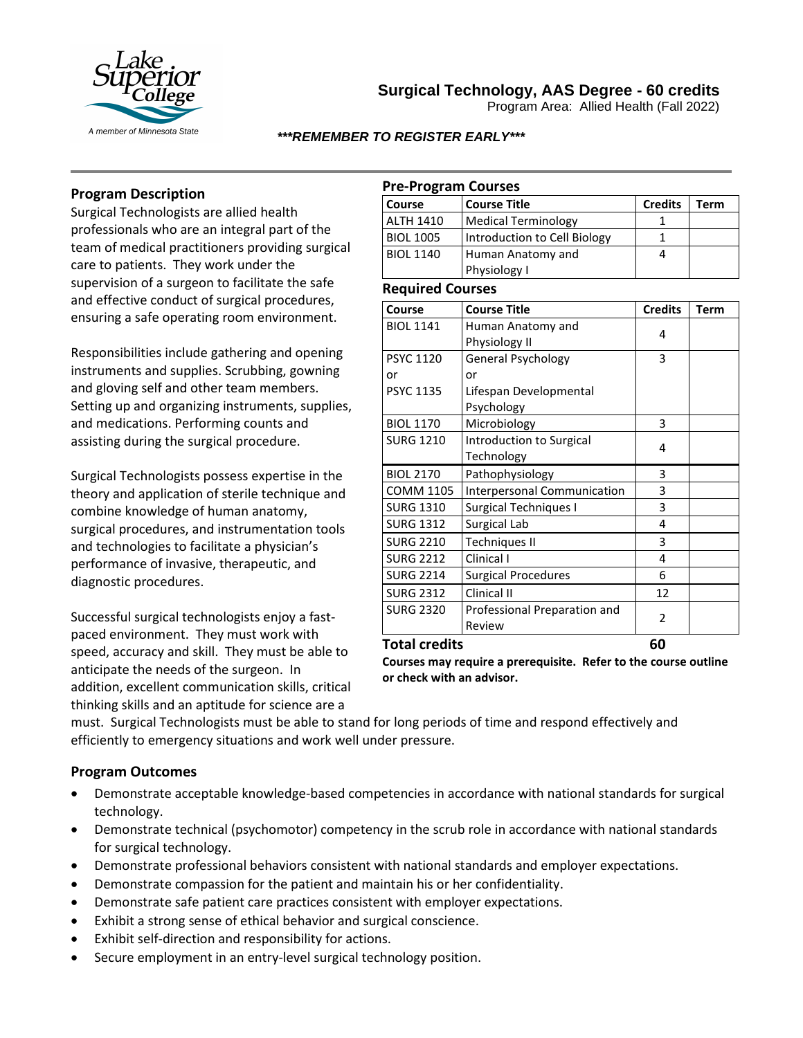

# **Surgical Technology, AAS Degree - 60 credits**

Program Area: Allied Health (Fall 2022)

### *\*\*\*REMEMBER TO REGISTER EARLY\*\*\**

### **Program Description**

Surgical Technologists are allied health professionals who are an integral part of the team of medical practitioners providing surgical care to patients. They work under the supervision of a surgeon to facilitate the safe and effective conduct of surgical procedures, ensuring a safe operating room environment.

Responsibilities include gathering and opening instruments and supplies. Scrubbing, gowning and gloving self and other team members. Setting up and organizing instruments, supplies, and medications. Performing counts and assisting during the surgical procedure.

Surgical Technologists possess expertise in the theory and application of sterile technique and combine knowledge of human anatomy, surgical procedures, and instrumentation tools and technologies to facilitate a physician's performance of invasive, therapeutic, and diagnostic procedures.

Successful surgical technologists enjoy a fastpaced environment. They must work with speed, accuracy and skill. They must be able to anticipate the needs of the surgeon. In addition, excellent communication skills, critical thinking skills and an aptitude for science are a

### **Pre-Program Courses**

| Course           | Course Title                 | <b>Credits</b> | Term |
|------------------|------------------------------|----------------|------|
| <b>ALTH 1410</b> | Medical Terminology          |                |      |
| <b>BIOL 1005</b> | Introduction to Cell Biology |                |      |
| <b>BIOL 1140</b> | Human Anatomy and            |                |      |
|                  | Physiology I                 |                |      |

#### **Required Courses**

| Course               | <b>Course Title</b>          | <b>Credits</b> | Term |
|----------------------|------------------------------|----------------|------|
| <b>BIOL 1141</b>     | Human Anatomy and            | 4              |      |
|                      | Physiology II                |                |      |
| <b>PSYC 1120</b>     | General Psychology           | 3              |      |
| or                   | or                           |                |      |
| <b>PSYC 1135</b>     | Lifespan Developmental       |                |      |
|                      | Psychology                   |                |      |
| <b>BIOL 1170</b>     | Microbiology                 | 3              |      |
| <b>SURG 1210</b>     | Introduction to Surgical     | 4              |      |
|                      | Technology                   |                |      |
| <b>BIOL 2170</b>     | Pathophysiology              | 3              |      |
| <b>COMM 1105</b>     | Interpersonal Communication  | 3              |      |
| <b>SURG 1310</b>     | <b>Surgical Techniques I</b> | 3              |      |
| <b>SURG 1312</b>     | Surgical Lab                 | 4              |      |
| <b>SURG 2210</b>     | <b>Techniques II</b>         | 3              |      |
| <b>SURG 2212</b>     | Clinical I                   | 4              |      |
| <b>SURG 2214</b>     | <b>Surgical Procedures</b>   | 6              |      |
| <b>SURG 2312</b>     | Clinical II                  | 12             |      |
| <b>SURG 2320</b>     | Professional Preparation and | 2              |      |
|                      | Review                       |                |      |
| <b>Total credits</b> | 60                           |                |      |

**Courses may require a prerequisite. Refer to the course outline or check with an advisor.**

must. Surgical Technologists must be able to stand for long periods of time and respond effectively and efficiently to emergency situations and work well under pressure.

### **Program Outcomes**

- Demonstrate acceptable knowledge-based competencies in accordance with national standards for surgical technology.
- Demonstrate technical (psychomotor) competency in the scrub role in accordance with national standards for surgical technology.
- Demonstrate professional behaviors consistent with national standards and employer expectations.
- Demonstrate compassion for the patient and maintain his or her confidentiality.
- Demonstrate safe patient care practices consistent with employer expectations.
- Exhibit a strong sense of ethical behavior and surgical conscience.
- Exhibit self-direction and responsibility for actions.
- Secure employment in an entry-level surgical technology position.